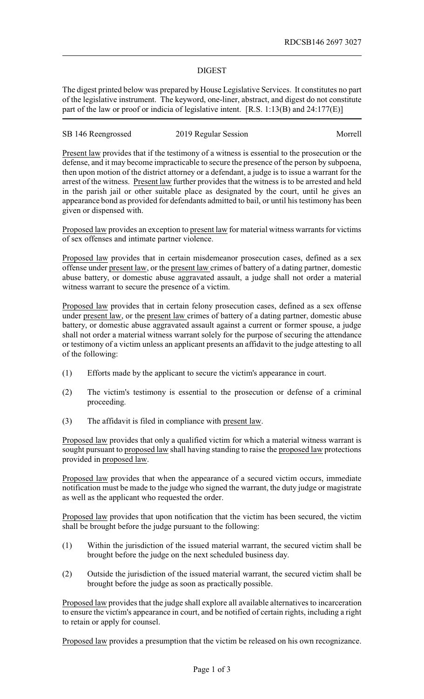## DIGEST

The digest printed below was prepared by House Legislative Services. It constitutes no part of the legislative instrument. The keyword, one-liner, abstract, and digest do not constitute part of the law or proof or indicia of legislative intent. [R.S. 1:13(B) and 24:177(E)]

SB 146 Reengrossed 2019 Regular Session Morrell

Present law provides that if the testimony of a witness is essential to the prosecution or the defense, and it may become impracticable to secure the presence of the person by subpoena, then upon motion of the district attorney or a defendant, a judge is to issue a warrant for the arrest of the witness. Present law further provides that the witness is to be arrested and held in the parish jail or other suitable place as designated by the court, until he gives an appearance bond as provided for defendants admitted to bail, or until his testimony has been given or dispensed with.

Proposed law provides an exception to present law for material witness warrants for victims of sex offenses and intimate partner violence.

Proposed law provides that in certain misdemeanor prosecution cases, defined as a sex offense under present law, or the present law crimes of battery of a dating partner, domestic abuse battery, or domestic abuse aggravated assault, a judge shall not order a material witness warrant to secure the presence of a victim.

Proposed law provides that in certain felony prosecution cases, defined as a sex offense under present law, or the present law crimes of battery of a dating partner, domestic abuse battery, or domestic abuse aggravated assault against a current or former spouse, a judge shall not order a material witness warrant solely for the purpose of securing the attendance or testimony of a victim unless an applicant presents an affidavit to the judge attesting to all of the following:

- (1) Efforts made by the applicant to secure the victim's appearance in court.
- (2) The victim's testimony is essential to the prosecution or defense of a criminal proceeding.
- (3) The affidavit is filed in compliance with present law.

Proposed law provides that only a qualified victim for which a material witness warrant is sought pursuant to proposed law shall having standing to raise the proposed law protections provided in proposed law.

Proposed law provides that when the appearance of a secured victim occurs, immediate notification must be made to the judge who signed the warrant, the duty judge or magistrate as well as the applicant who requested the order.

Proposed law provides that upon notification that the victim has been secured, the victim shall be brought before the judge pursuant to the following:

- (1) Within the jurisdiction of the issued material warrant, the secured victim shall be brought before the judge on the next scheduled business day.
- (2) Outside the jurisdiction of the issued material warrant, the secured victim shall be brought before the judge as soon as practically possible.

Proposed law provides that the judge shall explore all available alternatives to incarceration to ensure the victim's appearance in court, and be notified of certain rights, including a right to retain or apply for counsel.

Proposed law provides a presumption that the victim be released on his own recognizance.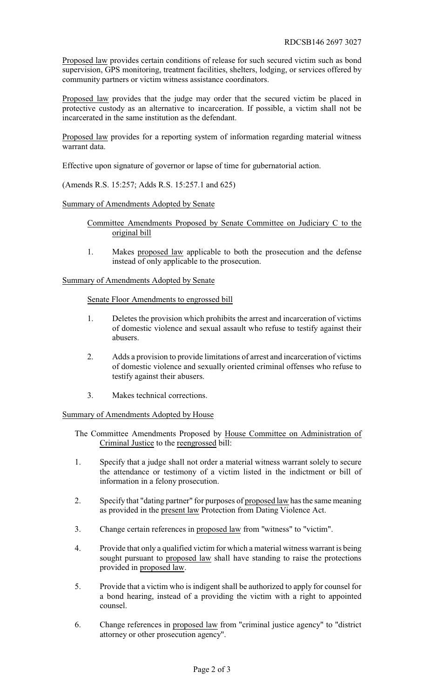Proposed law provides certain conditions of release for such secured victim such as bond supervision, GPS monitoring, treatment facilities, shelters, lodging, or services offered by community partners or victim witness assistance coordinators.

Proposed law provides that the judge may order that the secured victim be placed in protective custody as an alternative to incarceration. If possible, a victim shall not be incarcerated in the same institution as the defendant.

Proposed law provides for a reporting system of information regarding material witness warrant data.

Effective upon signature of governor or lapse of time for gubernatorial action.

(Amends R.S. 15:257; Adds R.S. 15:257.1 and 625)

Summary of Amendments Adopted by Senate

Committee Amendments Proposed by Senate Committee on Judiciary C to the original bill

1. Makes proposed law applicable to both the prosecution and the defense instead of only applicable to the prosecution.

Summary of Amendments Adopted by Senate

Senate Floor Amendments to engrossed bill

- 1. Deletes the provision which prohibits the arrest and incarceration of victims of domestic violence and sexual assault who refuse to testify against their abusers.
- 2. Adds a provision to provide limitations of arrest and incarceration of victims of domestic violence and sexually oriented criminal offenses who refuse to testify against their abusers.
- 3. Makes technical corrections.

Summary of Amendments Adopted by House

The Committee Amendments Proposed by House Committee on Administration of Criminal Justice to the reengrossed bill:

- 1. Specify that a judge shall not order a material witness warrant solely to secure the attendance or testimony of a victim listed in the indictment or bill of information in a felony prosecution.
- 2. Specify that "dating partner" for purposes of proposed law has the same meaning as provided in the present law Protection from Dating Violence Act.
- 3. Change certain references in proposed law from "witness" to "victim".
- 4. Provide that only a qualified victim for which a material witness warrant is being sought pursuant to proposed law shall have standing to raise the protections provided in proposed law.
- 5. Provide that a victim who is indigent shall be authorized to apply for counsel for a bond hearing, instead of a providing the victim with a right to appointed counsel.
- 6. Change references in proposed law from "criminal justice agency" to "district attorney or other prosecution agency".